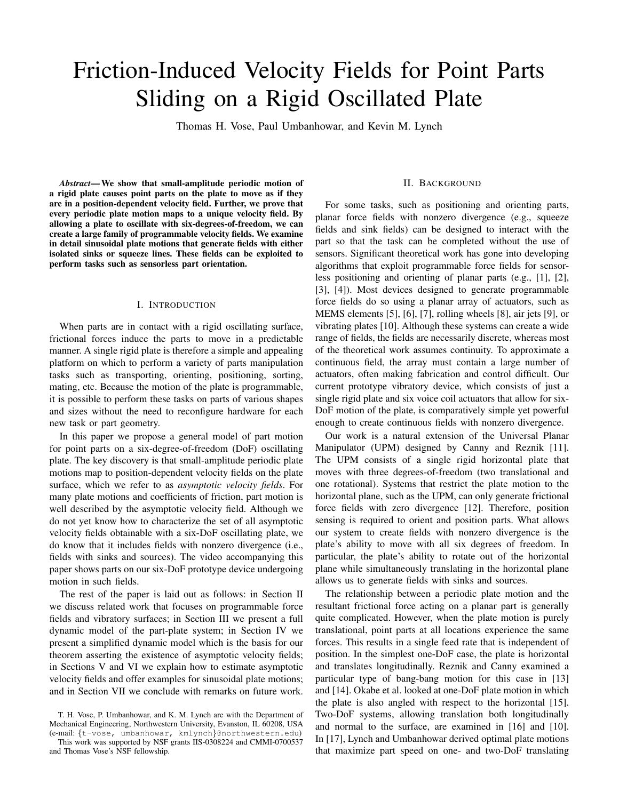# Friction-Induced Velocity Fields for Point Parts Sliding on a Rigid Oscillated Plate

Thomas H. Vose, Paul Umbanhowar, and Kevin M. Lynch

*Abstract*— We show that small-amplitude periodic motion of a rigid plate causes point parts on the plate to move as if they are in a position-dependent velocity field. Further, we prove that every periodic plate motion maps to a unique velocity field. By allowing a plate to oscillate with six-degrees-of-freedom, we can create a large family of programmable velocity fields. We examine in detail sinusoidal plate motions that generate fields with either isolated sinks or squeeze lines. These fields can be exploited to perform tasks such as sensorless part orientation.

## I. INTRODUCTION

When parts are in contact with a rigid oscillating surface, frictional forces induce the parts to move in a predictable manner. A single rigid plate is therefore a simple and appealing platform on which to perform a variety of parts manipulation tasks such as transporting, orienting, positioning, sorting, mating, etc. Because the motion of the plate is programmable, it is possible to perform these tasks on parts of various shapes and sizes without the need to reconfigure hardware for each new task or part geometry.

In this paper we propose a general model of part motion for point parts on a six-degree-of-freedom (DoF) oscillating plate. The key discovery is that small-amplitude periodic plate motions map to position-dependent velocity fields on the plate surface, which we refer to as *asymptotic velocity fields*. For many plate motions and coefficients of friction, part motion is well described by the asymptotic velocity field. Although we do not yet know how to characterize the set of all asymptotic velocity fields obtainable with a six-DoF oscillating plate, we do know that it includes fields with nonzero divergence (i.e., fields with sinks and sources). The video accompanying this paper shows parts on our six-DoF prototype device undergoing motion in such fields.

The rest of the paper is laid out as follows: in Section II we discuss related work that focuses on programmable force fields and vibratory surfaces; in Section III we present a full dynamic model of the part-plate system; in Section IV we present a simplified dynamic model which is the basis for our theorem asserting the existence of asymptotic velocity fields; in Sections V and VI we explain how to estimate asymptotic velocity fields and offer examples for sinusoidal plate motions; and in Section VII we conclude with remarks on future work.

## II. BACKGROUND

For some tasks, such as positioning and orienting parts, planar force fields with nonzero divergence (e.g., squeeze fields and sink fields) can be designed to interact with the part so that the task can be completed without the use of sensors. Significant theoretical work has gone into developing algorithms that exploit programmable force fields for sensorless positioning and orienting of planar parts (e.g., [1], [2], [3], [4]). Most devices designed to generate programmable force fields do so using a planar array of actuators, such as MEMS elements [5], [6], [7], rolling wheels [8], air jets [9], or vibrating plates [10]. Although these systems can create a wide range of fields, the fields are necessarily discrete, whereas most of the theoretical work assumes continuity. To approximate a continuous field, the array must contain a large number of actuators, often making fabrication and control difficult. Our current prototype vibratory device, which consists of just a single rigid plate and six voice coil actuators that allow for six-DoF motion of the plate, is comparatively simple yet powerful enough to create continuous fields with nonzero divergence.

Our work is a natural extension of the Universal Planar Manipulator (UPM) designed by Canny and Reznik [11]. The UPM consists of a single rigid horizontal plate that moves with three degrees-of-freedom (two translational and one rotational). Systems that restrict the plate motion to the horizontal plane, such as the UPM, can only generate frictional force fields with zero divergence [12]. Therefore, position sensing is required to orient and position parts. What allows our system to create fields with nonzero divergence is the plate's ability to move with all six degrees of freedom. In particular, the plate's ability to rotate out of the horizontal plane while simultaneously translating in the horizontal plane allows us to generate fields with sinks and sources.

The relationship between a periodic plate motion and the resultant frictional force acting on a planar part is generally quite complicated. However, when the plate motion is purely translational, point parts at all locations experience the same forces. This results in a single feed rate that is independent of position. In the simplest one-DoF case, the plate is horizontal and translates longitudinally. Reznik and Canny examined a particular type of bang-bang motion for this case in [13] and [14]. Okabe et al. looked at one-DoF plate motion in which the plate is also angled with respect to the horizontal [15]. Two-DoF systems, allowing translation both longitudinally and normal to the surface, are examined in [16] and [10]. In [17], Lynch and Umbanhowar derived optimal plate motions that maximize part speed on one- and two-DoF translating

T. H. Vose, P. Umbanhowar, and K. M. Lynch are with the Department of Mechanical Engineering, Northwestern University, Evanston, IL 60208, USA (e-mail: {t-vose, umbanhowar, kmlynch}@northwestern.edu)

This work was supported by NSF grants IIS-0308224 and CMMI-0700537 and Thomas Vose's NSF fellowship.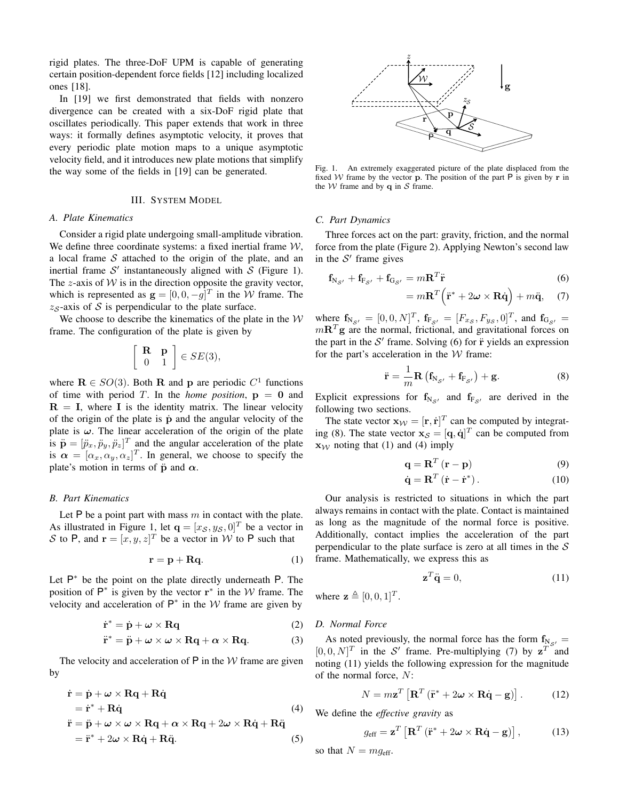rigid plates. The three-DoF UPM is capable of generating certain position-dependent force fields [12] including localized ones [18].

In [19] we first demonstrated that fields with nonzero divergence can be created with a six-DoF rigid plate that oscillates periodically. This paper extends that work in three ways: it formally defines asymptotic velocity, it proves that every periodic plate motion maps to a unique asymptotic velocity field, and it introduces new plate motions that simplify the way some of the fields in [19] can be generated.

## III. SYSTEM MODEL

#### *A. Plate Kinematics*

Consider a rigid plate undergoing small-amplitude vibration. We define three coordinate systems: a fixed inertial frame  $W$ , a local frame  $S$  attached to the origin of the plate, and an inertial frame  $S'$  instantaneously aligned with  $S$  (Figure 1). The z-axis of  $W$  is in the direction opposite the gravity vector, which is represented as  $\mathbf{g} = [0, 0, -g]^T$  in the W frame. The  $z<sub>S</sub>$ -axis of S is perpendicular to the plate surface.

We choose to describe the kinematics of the plate in the  $W$ frame. The configuration of the plate is given by

$$
\left[\begin{array}{cc} \mathbf{R} & \mathbf{p} \\ 0 & 1 \end{array}\right] \in SE(3),
$$

where  $\mathbf{R} \in SO(3)$ . Both **R** and **p** are periodic  $C^1$  functions of time with period T. In the *home position*,  $p = 0$  and  $R = I$ , where I is the identity matrix. The linear velocity of the origin of the plate is  $\dot{p}$  and the angular velocity of the plate is  $\omega$ . The linear acceleration of the origin of the plate is  $\ddot{\mathbf{p}} = [\ddot{p}_x, \ddot{p}_y, \ddot{p}_z]^T$  and the angular acceleration of the plate is  $\alpha = [\alpha_x, \alpha_y, \alpha_z]^T$ . In general, we choose to specify the plate's motion in terms of  $\ddot{p}$  and  $\alpha$ .

# *B. Part Kinematics*

Let P be a point part with mass  $m$  in contact with the plate. As illustrated in Figure 1, let  $\mathbf{q} = [x_{\mathcal{S}}, y_{\mathcal{S}}, 0]^T$  be a vector in S to P, and  $\mathbf{r} = [x, y, z]^T$  be a vector in W to P such that

$$
\mathbf{r} = \mathbf{p} + \mathbf{R}\mathbf{q}.\tag{1}
$$

Let  $P^*$  be the point on the plate directly underneath  $P$ . The position of  $P^*$  is given by the vector  $r^*$  in the W frame. The velocity and acceleration of  $P^*$  in the W frame are given by

$$
\dot{\mathbf{r}}^* = \dot{\mathbf{p}} + \boldsymbol{\omega} \times \mathbf{R}\mathbf{q} \tag{2}
$$

$$
\ddot{\mathbf{r}}^* = \ddot{\mathbf{p}} + \boldsymbol{\omega} \times \boldsymbol{\omega} \times \mathbf{R}\mathbf{q} + \boldsymbol{\alpha} \times \mathbf{R}\mathbf{q}.
$$
 (3)

The velocity and acceleration of  $P$  in the  $W$  frame are given by

$$
\dot{\mathbf{r}} = \dot{\mathbf{p}} + \boldsymbol{\omega} \times \mathbf{R}\mathbf{q} + \mathbf{R}\dot{\mathbf{q}} \n= \dot{\mathbf{r}}^* + \mathbf{R}\dot{\mathbf{q}} \n\ddot{\mathbf{r}} = \ddot{\mathbf{p}} + \boldsymbol{\omega} \times \boldsymbol{\omega} \times \mathbf{R}\mathbf{q} + \boldsymbol{\alpha} \times \mathbf{R}\mathbf{q} + 2\boldsymbol{\omega} \times \mathbf{R}\dot{\mathbf{q}} + \mathbf{R}\ddot{\mathbf{q}} \n= \ddot{\mathbf{r}}^* + 2\boldsymbol{\omega} \times \mathbf{R}\dot{\mathbf{q}} + \mathbf{R}\ddot{\mathbf{q}}.
$$
\n(4)



Fig. 1. An extremely exaggerated picture of the plate displaced from the fixed W frame by the vector **p**. The position of the part  $P$  is given by **r** in the W frame and by  $q$  in S frame.

#### *C. Part Dynamics*

Three forces act on the part: gravity, friction, and the normal force from the plate (Figure 2). Applying Newton's second law in the  $S'$  frame gives

$$
\mathbf{f}_{\mathbf{N}_{\mathcal{S}'}} + \mathbf{f}_{\mathbf{F}_{\mathcal{S}'}} + \mathbf{f}_{\mathbf{G}_{\mathcal{S}'}} = m\mathbf{R}^T \ddot{\mathbf{r}} \tag{6}
$$

$$
= m\mathbf{R}^T (\ddot{\mathbf{r}}^* + 2\boldsymbol{\omega} \times \mathbf{R}\dot{\mathbf{q}}) + m\ddot{\mathbf{q}}, \quad (7)
$$

where  $f_{N_{\mathcal{S}'}} = [0, 0, N]^T$ ,  $f_{F_{\mathcal{S}'}} = [F_{x_{\mathcal{S}}}, F_{y_{\mathcal{S}}}, 0]^T$ , and  $f_{G_{\mathcal{S}'}} =$  $m\mathbf{R}^T\mathbf{g}$  are the normal, frictional, and gravitational forces on the part in the  $S'$  frame. Solving (6) for  $\ddot{r}$  yields an expression for the part's acceleration in the  $W$  frame:

$$
\ddot{\mathbf{r}} = \frac{1}{m} \mathbf{R} \left( \mathbf{f}_{N_{\mathcal{S}'}} + \mathbf{f}_{F_{\mathcal{S}'}} \right) + \mathbf{g}.
$$
 (8)

Explicit expressions for  $f_{N_{S'}}$  and  $f_{F_{S'}}$  are derived in the following two sections.

The state vector  $\mathbf{x}_{\mathcal{W}} = [\mathbf{r}, \dot{\mathbf{r}}]^T$  can be computed by integrating (8). The state vector  $\mathbf{x}_{\mathcal{S}} = [\mathbf{q}, \dot{\mathbf{q}}]^T$  can be computed from  $x_{\mathcal{W}}$  noting that (1) and (4) imply

$$
\mathbf{q} = \mathbf{R}^T \left( \mathbf{r} - \mathbf{p} \right) \tag{9}
$$

$$
\dot{\mathbf{q}} = \mathbf{R}^T \left( \dot{\mathbf{r}} - \dot{\mathbf{r}}^* \right). \tag{10}
$$

Our analysis is restricted to situations in which the part always remains in contact with the plate. Contact is maintained as long as the magnitude of the normal force is positive. Additionally, contact implies the acceleration of the part perpendicular to the plate surface is zero at all times in the  $S$ frame. Mathematically, we express this as

$$
\mathbf{z}^T \ddot{\mathbf{q}} = 0,\tag{11}
$$

where  $\mathbf{z} \triangleq [0, 0, 1]^T$ .

## *D. Normal Force*

As noted previously, the normal force has the form  $f_{N_{S'}} =$  $[0, 0, N]^T$  in the S' frame. Pre-multiplying (7) by  $z^T$  and noting (11) yields the following expression for the magnitude of the normal force, N:

$$
N = m\mathbf{z}^T \left[ \mathbf{R}^T \left( \ddot{\mathbf{r}}^* + 2\boldsymbol{\omega} \times \mathbf{R} \dot{\mathbf{q}} - \mathbf{g} \right) \right]. \tag{12}
$$

We define the *effective gravity* as

$$
g_{\rm eff} = \mathbf{z}^T \left[ \mathbf{R}^T \left( \ddot{\mathbf{r}}^* + 2\boldsymbol{\omega} \times \mathbf{R} \dot{\mathbf{q}} - \mathbf{g} \right) \right], \tag{13}
$$

so that  $N = mg<sub>eff</sub>$ .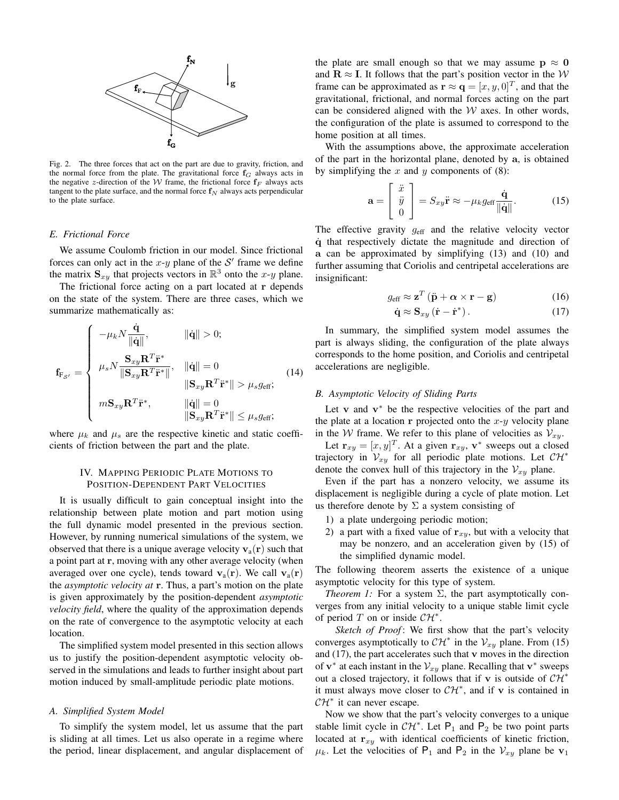

Fig. 2. The three forces that act on the part are due to gravity, friction, and the normal force from the plate. The gravitational force  $f_G$  always acts in the negative z-direction of the W frame, the frictional force  $f_F$  always acts tangent to the plate surface, and the normal force  $f_N$  always acts perpendicular to the plate surface.

## *E. Frictional Force*

We assume Coulomb friction in our model. Since frictional forces can only act in the  $x-y$  plane of the  $S'$  frame we define the matrix  $S_{xy}$  that projects vectors in  $\mathbb{R}^3$  onto the x-y plane.

The frictional force acting on a part located at r depends on the state of the system. There are three cases, which we summarize mathematically as:

$$
\mathbf{f}_{\mathbf{F}_{\mathcal{S}^{\prime}}} = \begin{cases}\n-\mu_k N \frac{\dot{\mathbf{q}}}{\|\dot{\mathbf{q}}\|}, & \|\dot{\mathbf{q}}\| > 0; \\
\mu_s N \frac{\mathbf{S}_{xy} \mathbf{R}^T \ddot{\mathbf{r}}^*}{\|\mathbf{S}_{xy} \mathbf{R}^T \ddot{\mathbf{r}}^*\|}, & \|\dot{\mathbf{q}}\| = 0 \\
\frac{\mathbf{S}_{xy} \mathbf{R}^T \ddot{\mathbf{r}}^*}{\|\mathbf{S}_{xy} \mathbf{R}^T \ddot{\mathbf{r}}^*\|} > \mu_s g_{\text{eff}}; \\
m \mathbf{S}_{xy} \mathbf{R}^T \ddot{\mathbf{r}}^*, & \|\dot{\mathbf{q}}\| = 0 \\
\frac{\mathbf{S}_{xy} \mathbf{R}^T \ddot{\mathbf{r}}^*}{\|\mathbf{S}_{xy} \mathbf{R}^T \ddot{\mathbf{r}}^*\|} \leq \mu_s g_{\text{eff}};\n\end{cases}
$$
\n(14)

where  $\mu_k$  and  $\mu_s$  are the respective kinetic and static coefficients of friction between the part and the plate.

# IV. MAPPING PERIODIC PLATE MOTIONS TO POSITION-DEPENDENT PART VELOCITIES

It is usually difficult to gain conceptual insight into the relationship between plate motion and part motion using the full dynamic model presented in the previous section. However, by running numerical simulations of the system, we observed that there is a unique average velocity  $v_a(r)$  such that a point part at r, moving with any other average velocity (when averaged over one cycle), tends toward  $v_a(r)$ . We call  $v_a(r)$ the *asymptotic velocity at* r. Thus, a part's motion on the plate is given approximately by the position-dependent *asymptotic velocity field*, where the quality of the approximation depends on the rate of convergence to the asymptotic velocity at each location.

The simplified system model presented in this section allows us to justify the position-dependent asymptotic velocity observed in the simulations and leads to further insight about part motion induced by small-amplitude periodic plate motions.

## *A. Simplified System Model*

To simplify the system model, let us assume that the part is sliding at all times. Let us also operate in a regime where the period, linear displacement, and angular displacement of the plate are small enough so that we may assume  $p \approx 0$ and  $\mathbf{R} \approx \mathbf{I}$ . It follows that the part's position vector in the W frame can be approximated as  $\mathbf{r} \approx \mathbf{q} = [x, y, 0]^T$ , and that the gravitational, frictional, and normal forces acting on the part can be considered aligned with the  $W$  axes. In other words, the configuration of the plate is assumed to correspond to the home position at all times.

With the assumptions above, the approximate acceleration of the part in the horizontal plane, denoted by a, is obtained by simplifying the  $x$  and  $y$  components of  $(8)$ :

$$
\mathbf{a} = \begin{bmatrix} \ddot{x} \\ \ddot{y} \\ 0 \end{bmatrix} = S_{xy} \ddot{\mathbf{r}} \approx -\mu_k g_{\text{eff}} \frac{\dot{\mathbf{q}}}{\|\dot{\mathbf{q}}\|}. \tag{15}
$$

The effective gravity  $g_{\text{eff}}$  and the relative velocity vector q˙ that respectively dictate the magnitude and direction of a can be approximated by simplifying (13) and (10) and further assuming that Coriolis and centripetal accelerations are insignificant:

$$
g_{\rm eff} \approx \mathbf{z}^T \left( \ddot{\mathbf{p}} + \boldsymbol{\alpha} \times \mathbf{r} - \mathbf{g} \right) \tag{16}
$$

$$
\dot{\mathbf{q}} \approx \mathbf{S}_{xy} \left( \dot{\mathbf{r}} - \dot{\mathbf{r}}^* \right). \tag{17}
$$

In summary, the simplified system model assumes the part is always sliding, the configuration of the plate always corresponds to the home position, and Coriolis and centripetal accelerations are negligible.

#### *B. Asymptotic Velocity of Sliding Parts*

Let  $v$  and  $v^*$  be the respective velocities of the part and the plate at a location  $r$  projected onto the  $x-y$  velocity plane in the *W* frame. We refer to this plane of velocities as  $V_{xy}$ .

Let  $\mathbf{r}_{xy} = [x, y]^T$ . At a given  $\mathbf{r}_{xy}$ ,  $\mathbf{v}^*$  sweeps out a closed trajectory in  $V_{xy}$  for all periodic plate motions. Let  $\mathcal{CH}^*$ denote the convex hull of this trajectory in the  $V_{xy}$  plane.

Even if the part has a nonzero velocity, we assume its displacement is negligible during a cycle of plate motion. Let us therefore denote by  $\Sigma$  a system consisting of

- 1) a plate undergoing periodic motion;
- 2) a part with a fixed value of  $r_{xy}$ , but with a velocity that may be nonzero, and an acceleration given by (15) of the simplified dynamic model.

The following theorem asserts the existence of a unique asymptotic velocity for this type of system.

*Theorem 1:* For a system  $\Sigma$ , the part asymptotically converges from any initial velocity to a unique stable limit cycle of period T on or inside  $\mathcal{CH}^*$ .

*Sketch of Proof*: We first show that the part's velocity converges asymptotically to  $\mathcal{CH}^*$  in the  $\mathcal{V}_{xy}$  plane. From (15) and  $(17)$ , the part accelerates such that  $\bf{v}$  moves in the direction of  $v^*$  at each instant in the  $V_{xy}$  plane. Recalling that  $v^*$  sweeps out a closed trajectory, it follows that if v is outside of  $\mathcal{CH}^*$ it must always move closer to  $\mathcal{CH}^*$ , and if v is contained in  $\mathcal{CH}^*$  it can never escape.

Now we show that the part's velocity converges to a unique stable limit cycle in  $\mathcal{CH}^*$ . Let  $\mathsf{P}_1$  and  $\mathsf{P}_2$  be two point parts located at  $r_{xy}$  with identical coefficients of kinetic friction,  $\mu_k$ . Let the velocities of P<sub>1</sub> and P<sub>2</sub> in the  $V_{xy}$  plane be  $v_1$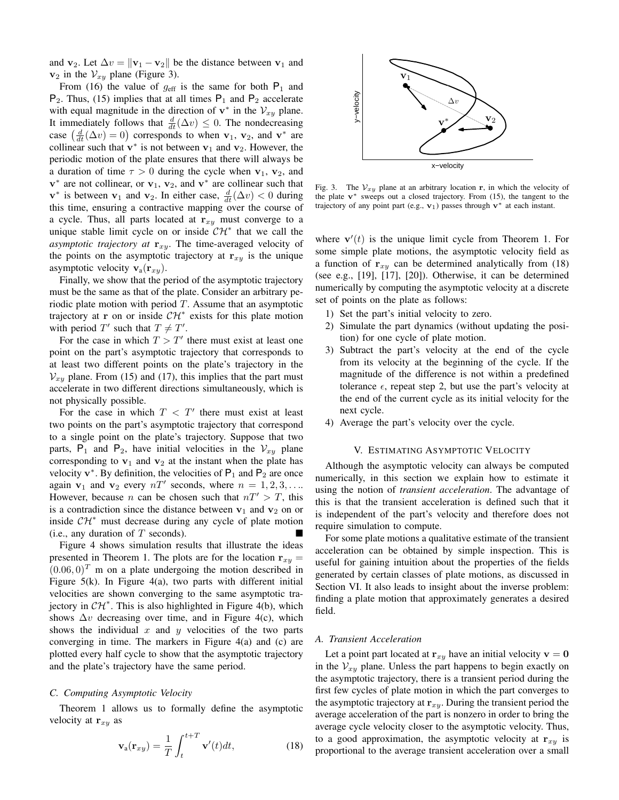and  $\mathbf{v}_2$ . Let  $\Delta v = ||\mathbf{v}_1 - \mathbf{v}_2||$  be the distance between  $\mathbf{v}_1$  and  $v_2$  in the  $V_{xy}$  plane (Figure 3).

From (16) the value of  $g_{\text{eff}}$  is the same for both  $P_1$  and  $P_2$ . Thus, (15) implies that at all times  $P_1$  and  $P_2$  accelerate with equal magnitude in the direction of  $\mathbf{v}^*$  in the  $\mathcal{V}_{xy}$  plane. It immediately follows that  $\frac{d}{dt}(\Delta v) \leq 0$ . The nondecreasing case  $\left(\frac{d}{dt}(\Delta v) = 0\right)$  corresponds to when  $\mathbf{v}_1$ ,  $\mathbf{v}_2$ , and  $\mathbf{v}^*$  are collinear such that  $\mathbf{v}^*$  is not between  $\mathbf{v}_1$  and  $\mathbf{v}_2$ . However, the periodic motion of the plate ensures that there will always be a duration of time  $\tau > 0$  during the cycle when  $v_1$ ,  $v_2$ , and  $v^*$  are not collinear, or  $v_1$ ,  $v_2$ , and  $v^*$  are collinear such that  $\mathbf{v}^*$  is between  $\mathbf{v}_1$  and  $\mathbf{v}_2$ . In either case,  $\frac{d}{dt}(\Delta v) < 0$  during this time, ensuring a contractive mapping over the course of a cycle. Thus, all parts located at  $r_{xy}$  must converge to a unique stable limit cycle on or inside  $\mathcal{CH}^*$  that we call the *asymptotic trajectory at*  $r_{xy}$ . The time-averaged velocity of the points on the asymptotic trajectory at  $r_{xy}$  is the unique asymptotic velocity  $v_a(r_{xy})$ .

Finally, we show that the period of the asymptotic trajectory must be the same as that of the plate. Consider an arbitrary periodic plate motion with period  $T$ . Assume that an asymptotic trajectory at r on or inside  $\mathcal{CH}^*$  exists for this plate motion with period T' such that  $T \neq T'$ .

For the case in which  $T > T'$  there must exist at least one point on the part's asymptotic trajectory that corresponds to at least two different points on the plate's trajectory in the  $V_{xy}$  plane. From (15) and (17), this implies that the part must accelerate in two different directions simultaneously, which is not physically possible.

For the case in which  $T < T'$  there must exist at least two points on the part's asymptotic trajectory that correspond to a single point on the plate's trajectory. Suppose that two parts,  $P_1$  and  $P_2$ , have initial velocities in the  $V_{xy}$  plane corresponding to  $v_1$  and  $v_2$  at the instant when the plate has velocity  $v^*$ . By definition, the velocities of  $P_1$  and  $P_2$  are once again  $v_1$  and  $v_2$  every  $nT'$  seconds, where  $n = 1, 2, 3, \ldots$ However, because *n* can be chosen such that  $nT' > T$ , this is a contradiction since the distance between  $v_1$  and  $v_2$  on or inside  $\mathcal{CH}^*$  must decrease during any cycle of plate motion (i.e., any duration of  $T$  seconds).

Figure 4 shows simulation results that illustrate the ideas presented in Theorem 1. The plots are for the location  $r_{xy}$  =  $(0.06, 0)^T$  m on a plate undergoing the motion described in Figure  $5(k)$ . In Figure  $4(a)$ , two parts with different initial velocities are shown converging to the same asymptotic trajectory in  $\mathcal{CH}^*$ . This is also highlighted in Figure 4(b), which shows  $\Delta v$  decreasing over time, and in Figure 4(c), which shows the individual  $x$  and  $y$  velocities of the two parts converging in time. The markers in Figure 4(a) and (c) are plotted every half cycle to show that the asymptotic trajectory and the plate's trajectory have the same period.

# *C. Computing Asymptotic Velocity*

Theorem 1 allows us to formally define the asymptotic velocity at  $r_{xy}$  as

$$
\mathbf{v}_{\mathbf{a}}(\mathbf{r}_{xy}) = \frac{1}{T} \int_{t}^{t+T} \mathbf{v}'(t)dt,
$$
 (18)



Fig. 3. The  $V_{xy}$  plane at an arbitrary location r, in which the velocity of the plate  $v^*$  sweeps out a closed trajectory. From (15), the tangent to the trajectory of any point part (e.g.,  $v_1$ ) passes through  $v^*$  at each instant.

where  $\mathbf{v}'(t)$  is the unique limit cycle from Theorem 1. For some simple plate motions, the asymptotic velocity field as a function of  $r_{xy}$  can be determined analytically from (18) (see e.g., [19], [17], [20]). Otherwise, it can be determined numerically by computing the asymptotic velocity at a discrete set of points on the plate as follows:

- 1) Set the part's initial velocity to zero.
- 2) Simulate the part dynamics (without updating the position) for one cycle of plate motion.
- 3) Subtract the part's velocity at the end of the cycle from its velocity at the beginning of the cycle. If the magnitude of the difference is not within a predefined tolerance  $\epsilon$ , repeat step 2, but use the part's velocity at the end of the current cycle as its initial velocity for the next cycle.
- 4) Average the part's velocity over the cycle.

## V. ESTIMATING ASYMPTOTIC VELOCITY

Although the asymptotic velocity can always be computed numerically, in this section we explain how to estimate it using the notion of *transient acceleration*. The advantage of this is that the transient acceleration is defined such that it is independent of the part's velocity and therefore does not require simulation to compute.

For some plate motions a qualitative estimate of the transient acceleration can be obtained by simple inspection. This is useful for gaining intuition about the properties of the fields generated by certain classes of plate motions, as discussed in Section VI. It also leads to insight about the inverse problem: finding a plate motion that approximately generates a desired field.

## *A. Transient Acceleration*

Let a point part located at  $r_{xy}$  have an initial velocity  $v = 0$ in the  $V_{xy}$  plane. Unless the part happens to begin exactly on the asymptotic trajectory, there is a transient period during the first few cycles of plate motion in which the part converges to the asymptotic trajectory at  $r_{xy}$ . During the transient period the average acceleration of the part is nonzero in order to bring the average cycle velocity closer to the asymptotic velocity. Thus, to a good approximation, the asymptotic velocity at  $r_{xy}$  is proportional to the average transient acceleration over a small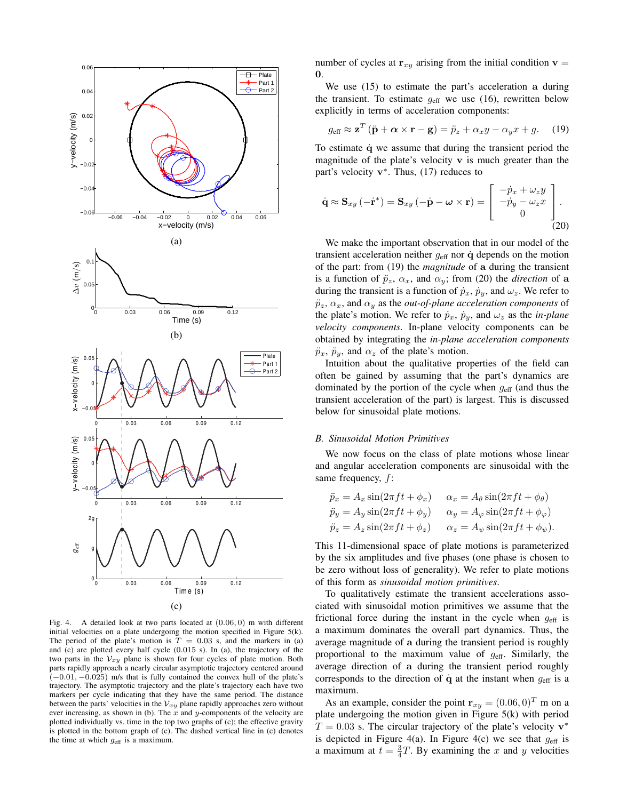

Fig. 4. A detailed look at two parts located at (0.06, 0) m with different initial velocities on a plate undergoing the motion specified in Figure 5(k). The period of the plate's motion is  $T = 0.03$  s, and the markers in (a) and (c) are plotted every half cycle (0.015 s). In (a), the trajectory of the two parts in the  $V_{xy}$  plane is shown for four cycles of plate motion. Both parts rapidly approach a nearly circular asymptotic trajectory centered around  $(-0.01, -0.025)$  m/s that is fully contained the convex hull of the plate's trajectory. The asymptotic trajectory and the plate's trajectory each have two markers per cycle indicating that they have the same period. The distance between the parts' velocities in the  $V_{xy}$  plane rapidly approaches zero without ever increasing, as shown in (b). The  $x$  and  $y$ -components of the velocity are plotted individually vs. time in the top two graphs of (c); the effective gravity is plotted in the bottom graph of (c). The dashed vertical line in (c) denotes the time at which  $g_{\text{eff}}$  is a maximum.

number of cycles at  $r_{xy}$  arising from the initial condition  $v =$  $\mathbf{0}$ .

We use  $(15)$  to estimate the part's acceleration a during the transient. To estimate  $g_{\text{eff}}$  we use (16), rewritten below explicitly in terms of acceleration components:

$$
g_{\text{eff}} \approx \mathbf{z}^T (\ddot{\mathbf{p}} + \boldsymbol{\alpha} \times \mathbf{r} - \mathbf{g}) = \ddot{p}_z + \alpha_x y - \alpha_y x + g. \quad (19)
$$

To estimate  $\dot{q}$  we assume that during the transient period the magnitude of the plate's velocity  $\bf{v}$  is much greater than the part's velocity  $v^*$ . Thus, (17) reduces to

$$
\dot{\mathbf{q}} \approx \mathbf{S}_{xy} \left( -\dot{\mathbf{r}}^{*} \right) = \mathbf{S}_{xy} \left( -\dot{\mathbf{p}} - \boldsymbol{\omega} \times \mathbf{r} \right) = \begin{bmatrix} -\dot{p}_{x} + \omega_{z} y \\ -\dot{p}_{y} - \omega_{z} x \\ 0 \end{bmatrix} . \tag{20}
$$

We make the important observation that in our model of the transient acceleration neither  $g_{\text{eff}}$  nor  $\dot{q}$  depends on the motion of the part: from (19) the *magnitude* of a during the transient is a function of  $\ddot{p}_z$ ,  $\alpha_x$ , and  $\alpha_y$ ; from (20) the *direction* of a during the transient is a function of  $\dot{p}_x$ ,  $\dot{p}_y$ , and  $\omega_z$ . We refer to  $\ddot{p}_z$ ,  $\alpha_x$ , and  $\alpha_y$  as the *out-of-plane acceleration components* of the plate's motion. We refer to  $\dot{p}_x$ ,  $\dot{p}_y$ , and  $\omega_z$  as the *in-plane velocity components*. In-plane velocity components can be obtained by integrating the *in-plane acceleration components*  $\ddot{p}_x$ ,  $\ddot{p}_y$ , and  $\alpha_z$  of the plate's motion.

Intuition about the qualitative properties of the field can often be gained by assuming that the part's dynamics are dominated by the portion of the cycle when  $g<sub>eff</sub>$  (and thus the transient acceleration of the part) is largest. This is discussed below for sinusoidal plate motions.

#### *B. Sinusoidal Motion Primitives*

We now focus on the class of plate motions whose linear and angular acceleration components are sinusoidal with the same frequency, f:

$$
\ddot{p}_x = A_x \sin(2\pi ft + \phi_x) \qquad \alpha_x = A_\theta \sin(2\pi ft + \phi_\theta)
$$
  
\n
$$
\ddot{p}_y = A_y \sin(2\pi ft + \phi_y) \qquad \alpha_y = A_\varphi \sin(2\pi ft + \phi_\varphi)
$$
  
\n
$$
\ddot{p}_z = A_z \sin(2\pi ft + \phi_z) \qquad \alpha_z = A_\psi \sin(2\pi ft + \phi_\psi).
$$

This 11-dimensional space of plate motions is parameterized by the six amplitudes and five phases (one phase is chosen to be zero without loss of generality). We refer to plate motions of this form as *sinusoidal motion primitives*.

To qualitatively estimate the transient accelerations associated with sinusoidal motion primitives we assume that the frictional force during the instant in the cycle when  $g<sub>eff</sub>$  is a maximum dominates the overall part dynamics. Thus, the average magnitude of a during the transient period is roughly proportional to the maximum value of  $g_{\text{eff}}$ . Similarly, the average direction of a during the transient period roughly corresponds to the direction of  $\dot{q}$  at the instant when  $g_{\text{eff}}$  is a maximum.

As an example, consider the point  $\mathbf{r}_{xy} = (0.06, 0)^T$  m on a plate undergoing the motion given in Figure 5(k) with period  $T = 0.03$  s. The circular trajectory of the plate's velocity  $v^*$ is depicted in Figure 4(a). In Figure 4(c) we see that  $g<sub>eff</sub>$  is a maximum at  $t = \frac{3}{4}T$ . By examining the x and y velocities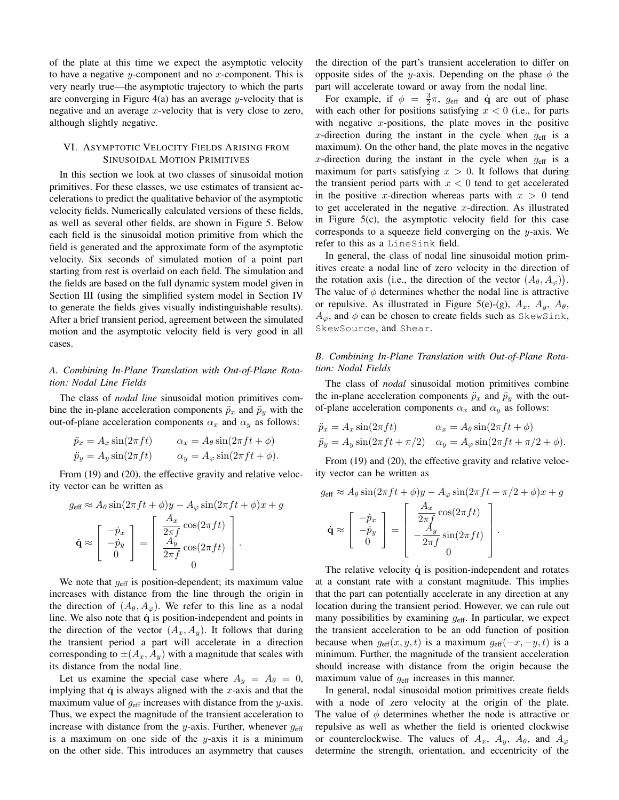of the plate at this time we expect the asymptotic velocity to have a negative y-component and no x-component. This is very nearly true—the asymptotic trajectory to which the parts are converging in Figure  $4(a)$  has an average y-velocity that is negative and an average  $x$ -velocity that is very close to zero, although slightly negative.

# VI. ASYMPTOTIC VELOCITY FIELDS ARISING FROM SINUSOIDAL MOTION PRIMITIVES

In this section we look at two classes of sinusoidal motion primitives. For these classes, we use estimates of transient accelerations to predict the qualitative behavior of the asymptotic velocity fields. Numerically calculated versions of these fields, as well as several other fields, are shown in Figure 5. Below each field is the sinusoidal motion primitive from which the field is generated and the approximate form of the asymptotic velocity. Six seconds of simulated motion of a point part starting from rest is overlaid on each field. The simulation and the fields are based on the full dynamic system model given in Section III (using the simplified system model in Section IV to generate the fields gives visually indistinguishable results). After a brief transient period, agreement between the simulated motion and the asymptotic velocity field is very good in all cases.

# *A. Combining In-Plane Translation with Out-of-Plane Rotation: Nodal Line Fields*

The class of *nodal line* sinusoidal motion primitives combine the in-plane acceleration components  $\ddot{p}_x$  and  $\ddot{p}_y$  with the out-of-plane acceleration components  $\alpha_x$  and  $\alpha_y$  as follows:

$$
\ddot{p}_x = A_x \sin(2\pi ft) \qquad \alpha_x = A_\theta \sin(2\pi ft + \phi)
$$
  
\n
$$
\ddot{p}_y = A_y \sin(2\pi ft) \qquad \alpha_y = A_\varphi \sin(2\pi ft + \phi).
$$

From (19) and (20), the effective gravity and relative velocity vector can be written as

$$
g_{\text{eff}} \approx A_{\theta} \sin(2\pi ft + \phi) y - A_{\varphi} \sin(2\pi ft + \phi) x + g
$$

$$
\dot{\mathbf{q}} \approx \begin{bmatrix} -\dot{p}_x \\ -\dot{p}_y \\ 0 \end{bmatrix} = \begin{bmatrix} \frac{A_x}{2\pi f} \cos(2\pi ft) \\ \frac{A_y}{2\pi f} \cos(2\pi ft) \\ 0 \end{bmatrix}.
$$

We note that  $g_{\text{eff}}$  is position-dependent; its maximum value increases with distance from the line through the origin in the direction of  $(A_{\theta}, A_{\varphi})$ . We refer to this line as a nodal line. We also note that  $\dot{q}$  is position-independent and points in the direction of the vector  $(A_x, A_y)$ . It follows that during the transient period a part will accelerate in a direction corresponding to  $\pm(A_x, A_y)$  with a magnitude that scales with its distance from the nodal line.

Let us examine the special case where  $A_y = A_\theta = 0$ , implying that  $\dot{q}$  is always aligned with the x-axis and that the maximum value of  $g<sub>eff</sub>$  increases with distance from the y-axis. Thus, we expect the magnitude of the transient acceleration to increase with distance from the y-axis. Further, whenever  $g<sub>eff</sub>$ is a maximum on one side of the  $y$ -axis it is a minimum on the other side. This introduces an asymmetry that causes the direction of the part's transient acceleration to differ on opposite sides of the y-axis. Depending on the phase  $\phi$  the part will accelerate toward or away from the nodal line.

For example, if  $\phi = \frac{3}{2}\pi$ ,  $g_{\text{eff}}$  and  $\dot{q}$  are out of phase with each other for positions satisfying  $x < 0$  (i.e., for parts with negative  $x$ -positions, the plate moves in the positive x-direction during the instant in the cycle when  $g<sub>eff</sub>$  is a maximum). On the other hand, the plate moves in the negative x-direction during the instant in the cycle when  $g<sub>eff</sub>$  is a maximum for parts satisfying  $x > 0$ . It follows that during the transient period parts with  $x < 0$  tend to get accelerated in the positive x-direction whereas parts with  $x > 0$  tend to get accelerated in the negative x-direction. As illustrated in Figure 5(c), the asymptotic velocity field for this case corresponds to a squeeze field converging on the  $y$ -axis. We refer to this as a LineSink field.

In general, the class of nodal line sinusoidal motion primitives create a nodal line of zero velocity in the direction of the rotation axis (i.e., the direction of the vector  $(A_{\theta}, A_{\varphi})$ ). The value of  $\phi$  determines whether the nodal line is attractive or repulsive. As illustrated in Figure 5(e)-(g),  $A_x$ ,  $A_y$ ,  $A_\theta$ ,  $A_{\varphi}$ , and  $\phi$  can be chosen to create fields such as SkewSink, SkewSource, and Shear.

# *B. Combining In-Plane Translation with Out-of-Plane Rotation: Nodal Fields*

The class of *nodal* sinusoidal motion primitives combine the in-plane acceleration components  $\ddot{p}_x$  and  $\ddot{p}_y$  with the outof-plane acceleration components  $\alpha_x$  and  $\alpha_y$  as follows:

$$
\ddot{p}_x = A_x \sin(2\pi ft) \qquad \alpha_x = A_\theta \sin(2\pi ft + \phi)
$$
  
\n
$$
\ddot{p}_y = A_y \sin(2\pi ft + \pi/2) \qquad \alpha_y = A_\varphi \sin(2\pi ft + \pi/2 + \phi).
$$

From (19) and (20), the effective gravity and relative velocity vector can be written as

$$
g_{\text{eff}} \approx A_{\theta} \sin(2\pi ft + \phi) y - A_{\varphi} \sin(2\pi ft + \pi/2 + \phi) x + g
$$

$$
\dot{\mathbf{q}} \approx \begin{bmatrix} -\dot{p}_x \\ -\dot{p}_y \\ 0 \end{bmatrix} = \begin{bmatrix} \frac{A_x}{2\pi f} \cos(2\pi ft) \\ -\frac{A_y}{2\pi f} \sin(2\pi ft) \\ 0 \end{bmatrix}.
$$

The relative velocity  $\dot{q}$  is position-independent and rotates at a constant rate with a constant magnitude. This implies that the part can potentially accelerate in any direction at any location during the transient period. However, we can rule out many possibilities by examining  $g_{\text{eff}}$ . In particular, we expect the transient acceleration to be an odd function of position because when  $g_{\text{eff}}(x, y, t)$  is a maximum  $g_{\text{eff}}(-x, -y, t)$  is a minimum. Further, the magnitude of the transient acceleration should increase with distance from the origin because the maximum value of  $g<sub>eff</sub>$  increases in this manner.

In general, nodal sinusoidal motion primitives create fields with a node of zero velocity at the origin of the plate. The value of  $\phi$  determines whether the node is attractive or repulsive as well as whether the field is oriented clockwise or counterclockwise. The values of  $A_x$ ,  $A_y$ ,  $A_\theta$ , and  $A_\varphi$ determine the strength, orientation, and eccentricity of the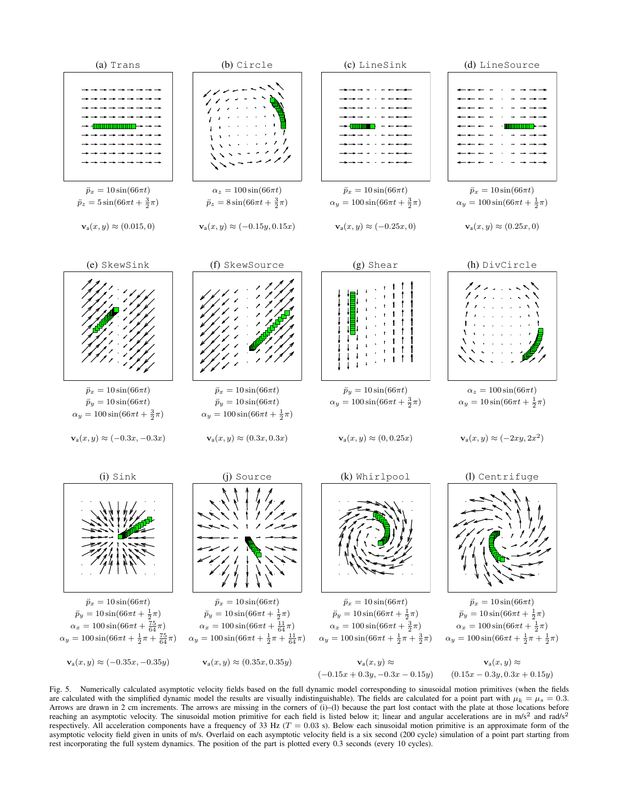

Fig. 5. Numerically calculated asymptotic velocity fields based on the full dynamic model corresponding to sinusoidal motion primitives (when the fields are calculated with the simplified dynamic model the results are visually indistinguishable). The fields are calculated for a point part with  $\mu_k = \mu_s = 0.3$ . Arrows are drawn in 2 cm increments. The arrows are missing in the corners of (i)–(l) because the part lost contact with the plate at those locations before reaching an asymptotic velocity. The sinusoidal motion primitive for each field is listed below it; linear and angular accelerations are in m/s<sup>2</sup> and rad/s<sup>2</sup> respectively. All acceleration components have a frequency of 33 Hz ( $T = 0.03$  s). Below each sinusoidal motion primitive is an approximate form of the asymptotic velocity field given in units of m/s. Overlaid on each asymptotic velocity field is a six second (200 cycle) simulation of a point part starting from rest incorporating the full system dynamics. The position of the part is plotted every 0.3 seconds (every 10 cycles).